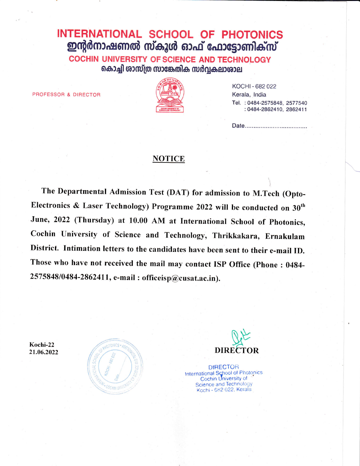## INTERNATIONAL SCHOOL OF PHOTONICS ഇന്റർനാഷണൽ സ്കൂൾ ഓഫ് ഫോട്ടോണിക്സ്

**COCHIN UNIVERSITY OF SCIENCE AND TECHNOLOGY** കൊച്ചി ശാസ്ത്ര സാങ്കേതിക സർവ്വകലാശാല

PROFESSOR & DIRECTOR



KOCHI - 682 022 Kerala, India Tel.: 0484-2575848, 2577540 : 0484-2862410, 2862411

## **NOTICE**

The Departmental Admission Test (DAT) for admission to M.Tech (Opto-Electronics & Laser Technology) Programme 2022 will be conducted on 30<sup>th</sup> June, 2022 (Thursday) at 10.00 AM at International School of Photonics, Cochin University of Science and Technology, Thrikkakara, Ernakulam District. Intimation letters to the candidates have been sent to their e-mail ID. Those who have not received the mail may contact ISP Office (Phone: 0484-2575848/0484-2862411, e-mail: officeisp@cusat.ac.in).

Kochi-22 21.06.2022





**DIRECTOR** International School of Photonics<br>Cochin University of **Science and Technology** Kochi - 682 022, Kerala